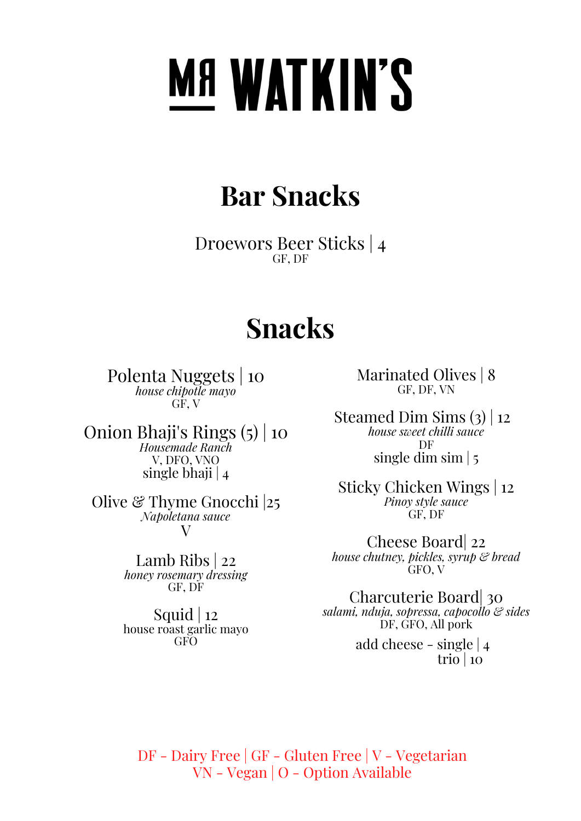# **MANATKIN'S**

### **Bar Snacks**

Droewors Beer Sticks | 4 GF, DF

### **Snacks**

Polenta Nuggets | 10 *house chipotle mayo* GF, V

Onion Bhaji's Rings (5) | 10 *Housemade Ranch* V, DFO, VNO single bhaji | 4

Olive  $\mathcal C$  Thyme Gnocchi 25 *Napoletana sauce* V

> Lamb Ribs | 22 *honey rosemary dressing* GF, DF

> Squid  $|12|$ house roast garlic mayo **GFO**

Marinated Olives | 8 GF, DF, VN

Steamed Dim Sims (3) | 12 *house sweet chilli sauce* DF single dim sim | 5

Sticky Chicken Wings | 12 *Pinoy style sauce* GF, DF

Cheese Board| 22 *house chutney, pickles, syrup & bread* GFO, V

Charcuterie Board| 30 *salami, nduja, sopressa, capocollo & sides* DF, GFO, All pork add cheese - single | 4

trio |  $10$ 

DF - Dairy Free | GF - Gluten Free | V - Vegetarian VN - Vegan | O - Option Available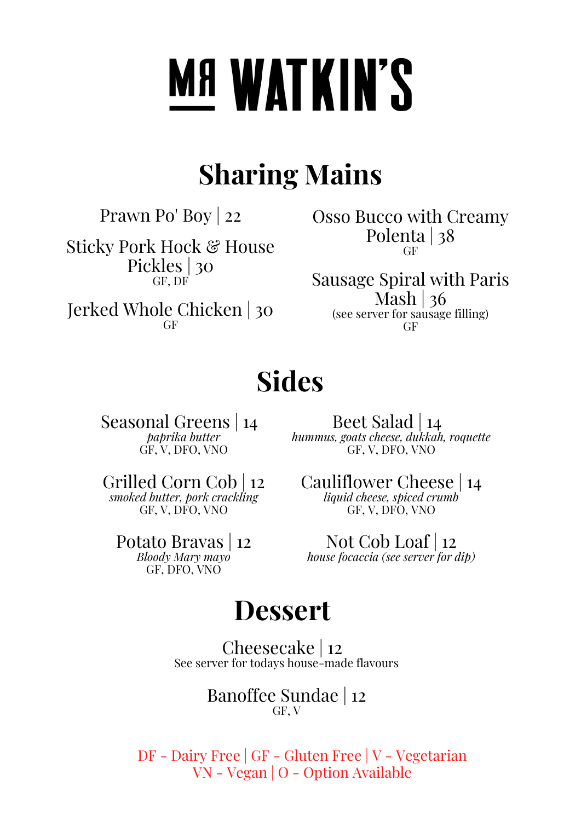# **MANATKIN'S**

## **Sharing Mains**

Prawn Po' Boy | 22

Sticky Pork Hock & House Pickles | 30 GF, DF

Jerked Whole Chicken | 30 GF

Osso Bucco with Creamy Polenta | 38 GF

Sausage Spiral with Paris Mash  $|36$ (see server for sausage filling) GF

## **Sides**

Seasonal Greens | 14 *paprika butter* GF, V, DFO, VNO

Beet Salad | 14 *hummus, goats cheese, dukkah, roquette* GF, V, DFO, VNO

Grilled Corn Cob | 12 *smoked butter, pork crackling* GF, V, DFO, VNO

Potato Bravas | 12 *Bloody Mary mayo* GF, DFO, VNO

Cauliflower Cheese | 14 *liquid cheese, spiced crumb* GF, V, DFO, VNO

Not Cob Loaf | 12 *house focaccia (see server for dip)*

### **Dessert**

Cheesecake | 12 See server for todays house-made flavours

> Banoffee Sundae | 12 GF, V

DF - Dairy Free | GF - Gluten Free | V - Vegetarian VN - Vegan | O - Option Available